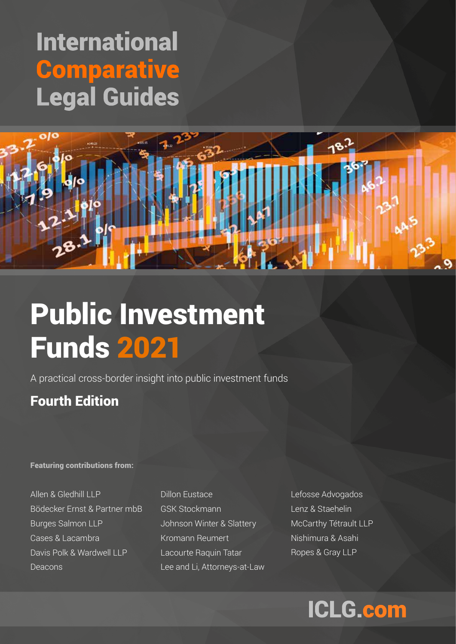## **International Comparative Legal Guides**



# Public Investment Funds 2021

A practical cross-border insight into public investment funds

## Fourth Edition

#### Featuring contributions from:

Allen & Gledhill LLP Bödecker Ernst & Partner mbB Burges Salmon LLP Cases & Lacambra Davis Polk & Wardwell LLP Deacons

Dillon Eustace GSK Stockmann Johnson Winter & Slattery Kromann Reumert Lacourte Raquin Tatar Lee and Li, Attorneys-at-Law Lefosse Advogados Lenz & Staehelin McCarthy Tétrault LLP Nishimura & Asahi Ropes & Gray LLP

## **ICLG.com**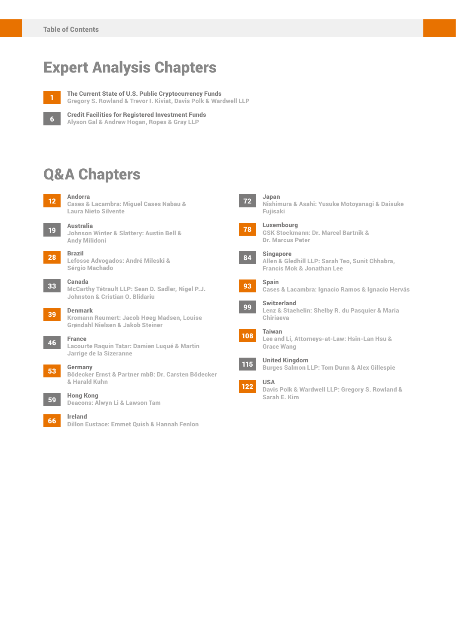## Expert Analysis Chapters



The Current State of U.S. Public Cryptocurrency Funds Gregory S. Rowland & Trevor I. Kiviat, Davis Polk & Wardwell LLP

6

Credit Facilities for Registered Investment Funds Alyson Gal & Andrew Hogan, Ropes & Gray LLP

## Q&A Chapters



Cases & Lacambra: Miguel Cases Nabau & Laura Nieto Silvente

<sup>19</sup> Australia Johnson Winter & Slattery: Austin Bell & Andy Milidoni

#### 28 Brazil

Lefosse Advogados: André Mileski & Sérgio Machado

#### <sup>33</sup> Canada

McCarthy Tétrault LLP: Sean D. Sadler, Nigel P.J. Johnston & Cristian O. Blidariu

<sup>39</sup> Denmark Kromann Reumert: Jacob Høeg Madsen, Louise Grøndahl Nielsen & Jakob Steiner

<sup>46</sup> France Lacourte Raquin Tatar: Damien Luqué & Martin Jarrige de la Sizeranne

#### <sup>53</sup> Germany

Bödecker Ernst & Partner mbB: Dr. Carsten Bödecker & Harald Kuhn

<sup>59</sup> Hong Kong

Deacons: Alwyn Li & Lawson Tam

<sup>66</sup> Ireland Dillon Eustace: Emmet Quish & Hannah Fenlon



Nishimura & Asahi: Yusuke Motoyanagi & Daisuke Fujisaki

#### Luxembourg GSK Stockmann: Dr. Marcel Bartnik & 78



#### 84 **Singapore**

Allen & Gledhill LLP: Sarah Teo, Sunit Chhabra, Francis Mok & Jonathan Lee

#### 93 Spain

Cases & Lacambra: Ignacio Ramos & Ignacio Hervás

#### Switzerland 99

Lenz & Staehelin: Shelby R. du Pasquier & Maria Chiriaeva

### Taiwan





122

United Kingdom Burges Salmon LLP: Tom Dunn & Alex Gillespie

#### USA

Davis Polk & Wardwell LLP: Gregory S. Rowland & Sarah E. Kim

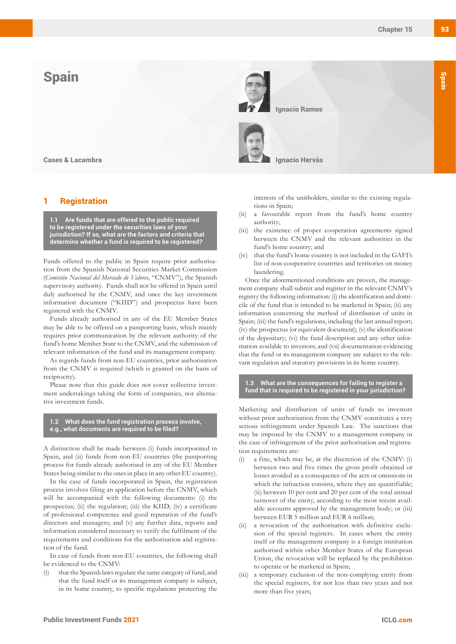### **Spain**



Cases & Lacambra

#### **Registration**

**1.1 Are funds that are offered to the public required to be registered under the securities laws of your jurisdiction? If so, what are the factors and criteria that determine whether a fund is required to be registered?**

Funds offered to the public in Spain require prior authorisation from the Spanish National Securities Market Commission (*Comisión Nacional del Mercado de Valores*, "CNMV"), the Spanish supervisory authority. Funds shall not be offered in Spain until duly authorised by the CNMV, and once the key investment information document ("KIID") and prospectus have been registered with the CNMV.

Funds already authorised in any of the EU Member States may be able to be offered on a passporting basis, which mainly requires prior communication by the relevant authority of the fund's home Member State to the CNMV, and the submission of relevant information of the fund and its management company.

As regards funds from non-EU countries, prior authorisation from the CNMV is required (which is granted on the basis of reciprocity).

Please note that this guide does not cover collective investment undertakings taking the form of companies, nor alternative investment funds.

#### **1.2 What does the fund registration process involve, e.g., what documents are required to be filed?**

A distinction shall be made between (i) funds incorporated in Spain, and (ii) funds from non-EU countries (the passporting process for funds already authorised in any of the EU Member States being similar to the ones in place in any other EU country).

In the case of funds incorporated in Spain, the registration process involves filing an application before the CNMV, which will be accompanied with the following documents: (i) the prospectus; (ii) the regulation; (iii) the KIID; (iv) a certificate of professional competence and good reputation of the fund's directors and managers; and (v) any further data, reports and information considered necessary to verify the fulfilment of the requirements and conditions for the authorisation and registration of the fund.

In case of funds from non-EU countries, the following shall be evidenced to the CNMV:

that the Spanish laws regulate the same category of fund, and that the fund itself or its management company is subject, in its home country, to specific regulations protecting the

interests of the unitholders, similar to the existing regulations in Spain;

- (ii) a favourable report from the fund's home country authority;
- (iii) the existence of proper cooperation agreements signed between the CNMV and the relevant authorities in the fund's home country; and
- (iv) that the fund's home country is not included in the GAFI's list of non-cooperative countries and territories on money laundering.

Once the aforementioned conditions are proven, the management company shall submit and register in the relevant CNMV's registry the following information: (i) the identification and domicile of the fund that is intended to be marketed in Spain; (ii) any information concerning the method of distribution of units in Spain; (iii) the fund's regulations, including the last annual report; (iv) the prospectus (or equivalent document); (v) the identification of the depositary; (vi) the fund description and any other information available to investors; and (vii) documentation evidencing that the fund or its management company are subject to the relevant regulation and statutory provisions in its home country.

#### **1.3 What are the consequences for failing to register a fund that is required to be registered in your jurisdiction?**

Marketing and distribution of units of funds to investors without prior authorisation from the CNMV constitutes a very serious infringement under Spanish Law. The sanctions that may be imposed by the CNMV to a management company in the case of infringement of the prior authorisation and registration requirements are:

- a fine, which may be, at the discretion of the CNMV: (i) between two and five times the gross profit obtained or losses avoided as a consequence of the acts or omissions in which the infraction consists, where they are quantifiable; (ii) between 10 per cent and 20 per cent of the total annual turnover of the entity, according to the most recent available accounts approved by the management body; or (iii) between EUR 5 million and EUR 6 million;
- (ii) a revocation of the authorisation with definitive exclusion of the special registers. In cases where the entity itself or the management company is a foreign institution authorised within other Member States of the European Union, the revocation will be replaced by the prohibition to operate or be marketed in Spain;
- (iii) a temporary exclusion of the non-complying entity from the special registers, for not less than two years and not more than five years;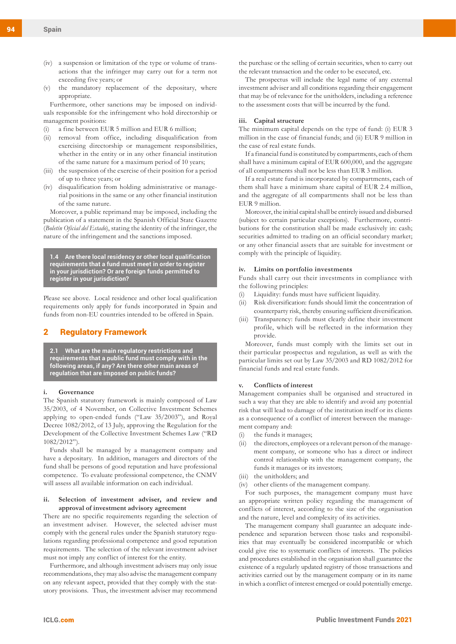- (iv) a suspension or limitation of the type or volume of transactions that the infringer may carry out for a term not exceeding five years; or
- (v) the mandatory replacement of the depositary, where appropriate.

Furthermore, other sanctions may be imposed on individuals responsible for the infringement who hold directorship or management positions:

- (i) a fine between EUR 5 million and EUR 6 million;
- (ii) removal from office, including disqualification from exercising directorship or management responsibilities, whether in the entity or in any other financial institution of the same nature for a maximum period of 10 years;
- (iii) the suspension of the exercise of their position for a period of up to three years; or
- (iv) disqualification from holding administrative or managerial positions in the same or any other financial institution of the same nature.

Moreover, a public reprimand may be imposed, including the publication of a statement in the Spanish Official State Gazette (*Boletín Oficial del Estado*), stating the identity of the infringer, the nature of the infringement and the sanctions imposed.

**1.4 Are there local residency or other local qualification requirements that a fund must meet in order to register in your jurisdiction? Or are foreign funds permitted to register in your jurisdiction?**

Please see above. Local residence and other local qualification requirements only apply for funds incorporated in Spain and funds from non-EU countries intended to be offered in Spain.

#### 2 Regulatory Framework

**2.1 What are the main regulatory restrictions and requirements that a public fund must comply with in the following areas, if any? Are there other main areas of regulation that are imposed on public funds?**

#### **i. Governance**

The Spanish statutory framework is mainly composed of Law 35/2003, of 4 November, on Collective Investment Schemes applying to open-ended funds ("Law 35/2003"), and Royal Decree 1082/2012, of 13 July, approving the Regulation for the Development of the Collective Investment Schemes Law ("RD 1082/2012").

Funds shall be managed by a management company and have a depositary. In addition, managers and directors of the fund shall be persons of good reputation and have professional competence. To evaluate professional competence, the CNMV will assess all available information on each individual.

#### **ii. Selection of investment adviser, and review and approval of investment advisory agreement**

There are no specific requirements regarding the selection of an investment adviser. However, the selected adviser must comply with the general rules under the Spanish statutory regulations regarding professional competence and good reputation requirements. The selection of the relevant investment adviser must not imply any conflict of interest for the entity.

Furthermore, and although investment advisers may only issue recommendations, they may also advise the management company on any relevant aspect, provided that they comply with the statutory provisions. Thus, the investment adviser may recommend the purchase or the selling of certain securities, when to carry out the relevant transaction and the order to be executed, etc.

The prospectus will include the legal name of any external investment adviser and all conditions regarding their engagement that may be of relevance for the unitholders, including a reference to the assessment costs that will be incurred by the fund.

#### **iii. Capital structure**

The minimum capital depends on the type of fund: (i) EUR 3 million in the case of financial funds; and (ii) EUR 9 million in the case of real estate funds.

If a financial fund is constituted by compartments, each of them shall have a minimum capital of EUR 600,000, and the aggregate of all compartments shall not be less than EUR 3 million.

If a real estate fund is incorporated by compartments, each of them shall have a minimum share capital of EUR 2.4 million, and the aggregate of all compartments shall not be less than EUR 9 million.

Moreover, the initial capital shall be entirely issued and disbursed (subject to certain particular exceptions). Furthermore, contributions for the constitution shall be made exclusively in: cash; securities admitted to trading on an official secondary market; or any other financial assets that are suitable for investment or comply with the principle of liquidity.

#### **iv. Limits on portfolio investments**

Funds shall carry out their investments in compliance with the following principles:

- (i) Liquidity: funds must have sufficient liquidity.
- (ii) Risk diversification: funds should limit the concentration of counterparty risk, thereby ensuring sufficient diversification.
- (iii) Transparency: funds must clearly define their investment profile, which will be reflected in the information they provide.

Moreover, funds must comply with the limits set out in their particular prospectus and regulation, as well as with the particular limits set out by Law 35/2003 and RD 1082/2012 for financial funds and real estate funds.

#### **v. Conflicts of interest**

Management companies shall be organised and structured in such a way that they are able to identify and avoid any potential risk that will lead to damage of the institution itself or its clients as a consequence of a conflict of interest between the management company and:

- (i) the funds it manages;
- (ii) the directors, employees or a relevant person of the management company, or someone who has a direct or indirect control relationship with the management company, the funds it manages or its investors;
- (iii) the unitholders; and
- (iv) other clients of the management company.

For such purposes, the management company must have an appropriate written policy regarding the management of conflicts of interest, according to the size of the organisation and the nature, level and complexity of its activities.

The management company shall guarantee an adequate independence and separation between those tasks and responsibilities that may eventually be considered incompatible or which could give rise to systematic conflicts of interests. The policies and procedures established in the organisation shall guarantee the existence of a regularly updated registry of those transactions and activities carried out by the management company or in its name in which a conflict of interest emerged or could potentially emerge.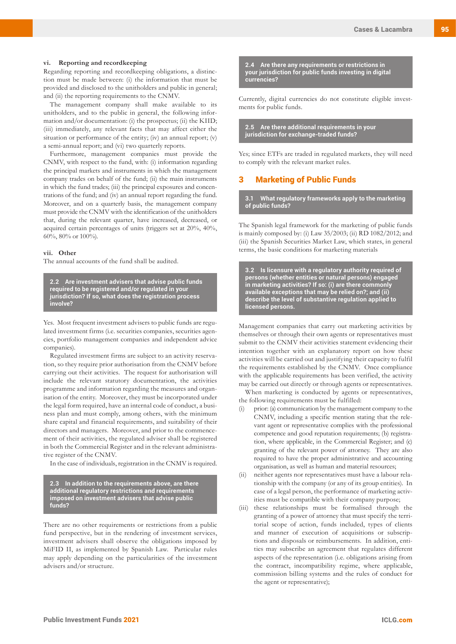#### **vi. Reporting and recordkeeping**

Regarding reporting and recordkeeping obligations, a distinction must be made between: (i) the information that must be provided and disclosed to the unitholders and public in general; and (ii) the reporting requirements to the CNMV.

The management company shall make available to its unitholders, and to the public in general, the following information and/or documentation: (i) the prospectus; (ii) the KIID; (iii) immediately, any relevant facts that may affect either the situation or performance of the entity; (iv) an annual report; (v) a semi-annual report; and (vi) two quarterly reports.

Furthermore, management companies must provide the CNMV, with respect to the fund, with: (i) information regarding the principal markets and instruments in which the management company trades on behalf of the fund; (ii) the main instruments in which the fund trades; (iii) the principal exposures and concentrations of the fund; and (iv) an annual report regarding the fund. Moreover, and on a quarterly basis, the management company must provide the CNMV with the identification of the unitholders that, during the relevant quarter, have increased, decreased, or acquired certain percentages of units (triggers set at 20%, 40%, 60%, 80% or 100%).

#### **vii. Other**

The annual accounts of the fund shall be audited.

**2.2 Are investment advisers that advise public funds required to be registered and/or regulated in your jurisdiction? If so, what does the registration process involve?**

Yes. Most frequent investment advisers to public funds are regulated investment firms (i.e. securities companies, securities agencies, portfolio management companies and independent advice companies).

Regulated investment firms are subject to an activity reservation, so they require prior authorisation from the CNMV before carrying out their activities. The request for authorisation will include the relevant statutory documentation, the activities programme and information regarding the measures and organisation of the entity. Moreover, they must be incorporated under the legal form required, have an internal code of conduct, a business plan and must comply, among others, with the minimum share capital and financial requirements, and suitability of their directors and managers. Moreover, and prior to the commencement of their activities, the regulated adviser shall be registered in both the Commercial Register and in the relevant administrative register of the CNMV.

In the case of individuals, registration in the CNMV is required.

**2.3 In addition to the requirements above, are there additional regulatory restrictions and requirements imposed on investment advisers that advise public funds?** 

There are no other requirements or restrictions from a public fund perspective, but in the rendering of investment services, investment advisers shall observe the obligations imposed by MiFID II, as implemented by Spanish Law. Particular rules may apply depending on the particularities of the investment advisers and/or structure.

**2.4 Are there any requirements or restrictions in your jurisdiction for public funds investing in digital currencies?**

Currently, digital currencies do not constitute eligible investments for public funds.

**2.5 Are there additional requirements in your jurisdiction for exchange-traded funds?**

Yes; since ETFs are traded in regulated markets, they will need to comply with the relevant market rules.

#### 3 Marketing of Public Funds

**3.1 What regulatory frameworks apply to the marketing of public funds?**

The Spanish legal framework for the marketing of public funds is mainly composed by: (i) Law 35/2003; (ii) RD 1082/2012; and (iii) the Spanish Securities Market Law, which states, in general terms, the basic conditions for marketing materials

**3.2 Is licensure with a regulatory authority required of persons (whether entities or natural persons) engaged in marketing activities? If so: (i) are there commonly available exceptions that may be relied on?; and (ii) describe the level of substantive regulation applied to licensed persons.**

Management companies that carry out marketing activities by themselves or through their own agents or representatives must submit to the CNMV their activities statement evidencing their intention together with an explanatory report on how these activities will be carried out and justifying their capacity to fulfil the requirements established by the CNMV. Once compliance with the applicable requirements has been verified, the activity may be carried out directly or through agents or representatives.

When marketing is conducted by agents or representatives, the following requirements must be fulfilled:

- (i) prior: (a) communication by the management company to the CNMV, including a specific mention stating that the relevant agent or representative complies with the professional competence and good reputation requirements; (b) registration, where applicable, in the Commercial Register; and (c) granting of the relevant power of attorney. They are also required to have the proper administrative and accounting organisation, as well as human and material resources;
- (ii) neither agents nor representatives must have a labour relationship with the company (or any of its group entities). In case of a legal person, the performance of marketing activities must be compatible with their company purpose;
- (iii) these relationships must be formalised through the granting of a power of attorney that must specify the territorial scope of action, funds included, types of clients and manner of execution of acquisitions or subscriptions and disposals or reimbursements. In addition, entities may subscribe an agreement that regulates different aspects of the representation (i.e. obligations arising from the contract, incompatibility regime, where applicable, commission billing systems and the rules of conduct for the agent or representative);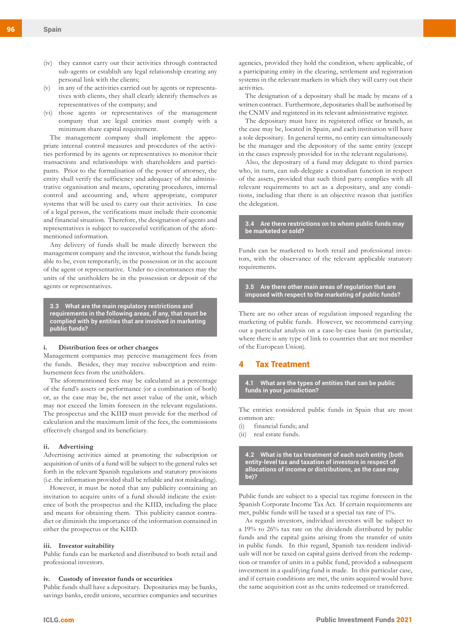- (iv) they cannot carry out their activities through contracted sub-agents or establish any legal relationship creating any personal link with the clients;
- (v) in any of the activities carried out by agents or representatives with clients, they shall clearly identify themselves as representatives of the company; and
- (vi) those agents or representatives of the management company that are legal entities must comply with a minimum share capital requirement.

The management company shall implement the appropriate internal control measures and procedures of the activities performed by its agents or representatives to monitor their transactions and relationships with shareholders and participants. Prior to the formalisation of the power of attorney, the entity shall verify the sufficiency and adequacy of the administrative organisation and means, operating procedures, internal control and accounting and, where appropriate, computer systems that will be used to carry out their activities. In case of a legal person, the verifications must include their economic and financial situation. Therefore, the designation of agents and representatives is subject to successful verification of the aforementioned information.

Any delivery of funds shall be made directly between the management company and the investor, without the funds being able to be, even temporarily, in the possession or in the account of the agent or representative. Under no circumstances may the units of the unitholders be in the possession or deposit of the agents or representatives.

**3.3 What are the main regulatory restrictions and requirements in the following areas, if any, that must be complied with by entities that are involved in marketing public funds?** 

#### **i. Distribution fees or other charges**

Management companies may perceive management fees from the funds. Besides, they may receive subscription and reimbursement fees from the unitholders.

The aforementioned fees may be calculated as a percentage of the fund's assets or performance (or a combination of both) or, as the case may be, the net asset value of the unit, which may not exceed the limits foreseen in the relevant regulations. The prospectus and the KIID must provide for the method of calculation and the maximum limit of the fees, the commissions effectively charged and its beneficiary.

#### **ii. Advertising**

Advertising activities aimed at promoting the subscription or acquisition of units of a fund will be subject to the general rules set forth in the relevant Spanish regulations and statutory provisions (i.e. the information provided shall be reliable and not misleading).

However, it must be noted that any publicity containing an invitation to acquire units of a fund should indicate the existence of both the prospectus and the KIID, including the place and means for obtaining them. This publicity cannot contradict or diminish the importance of the information contained in either the prospectus or the KIID.

#### **iii. Investor suitability**

Public funds can be marketed and distributed to both retail and professional investors.

#### **iv. Custody of investor funds or securities**

Public funds shall have a depositary. Depositaries may be banks, savings banks, credit unions, securities companies and securities agencies, provided they hold the condition, where applicable, of a participating entity in the clearing, settlement and registration systems in the relevant markets in which they will carry out their activities.

The designation of a depositary shall be made by means of a written contract. Furthermore, depositaries shall be authorised by the CNMV and registered in its relevant administrative register.

The depositary must have its registered office or branch, as the case may be, located in Spain, and each institution will have a sole depositary. In general terms, no entity can simultaneously be the manager and the depository of the same entity (except in the cases expressly provided for in the relevant regulations).

Also, the depositary of a fund may delegate to third parties who, in turn, can sub-delegate a custodian function in respect of the assets, provided that such third party complies with all relevant requirements to act as a depositary, and any conditions, including that there is an objective reason that justifies the delegation.

#### **3.4 Are there restrictions on to whom public funds may be marketed or sold?**

Funds can be marketed to both retail and professional investors, with the observance of the relevant applicable statutory requirements.

**3.5 Are there other main areas of regulation that are imposed with respect to the marketing of public funds?**

There are no other areas of regulation imposed regarding the marketing of public funds. However, we recommend carrying out a particular analysis on a case-by-case basis (in particular, where there is any type of link to countries that are not member of the European Union).

#### **Tax Treatment**

**4.1 What are the types of entities that can be public funds in your jurisdiction?**

The entities considered public funds in Spain that are most common are:

- (i) financial funds; and
- (ii) real estate funds.

**4.2 What is the tax treatment of each such entity (both entity-level tax and taxation of investors in respect of allocations of income or distributions, as the case may be)?** 

Public funds are subject to a special tax regime foreseen in the Spanish Corporate Income Tax Act. If certain requirements are met, public funds will be taxed at a special tax rate of 1%.

As regards investors, individual investors will be subject to a 19% to 26% tax rate on the dividends distributed by public funds and the capital gains arising from the transfer of units in public funds. In this regard, Spanish tax-resident individuals will not be taxed on capital gains derived from the redemption or transfer of units in a public fund, provided a subsequent investment in a qualifying fund is made. In this particular case, and if certain conditions are met, the units acquired would have the same acquisition cost as the units redeemed or transferred.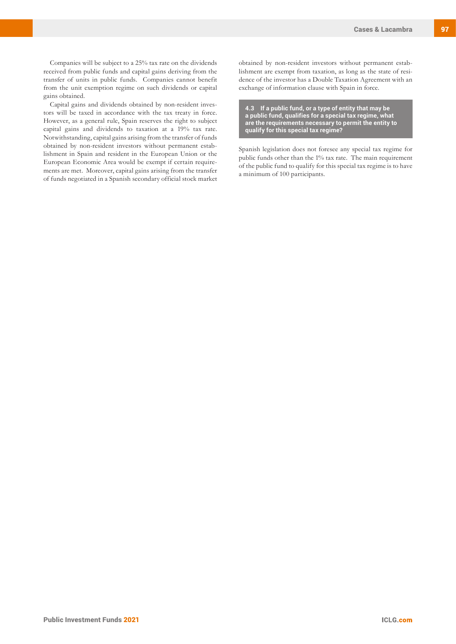Companies will be subject to a 25% tax rate on the dividends received from public funds and capital gains deriving from the transfer of units in public funds. Companies cannot benefit from the unit exemption regime on such dividends or capital gains obtained.

Capital gains and dividends obtained by non-resident investors will be taxed in accordance with the tax treaty in force. However, as a general rule, Spain reserves the right to subject capital gains and dividends to taxation at a 19% tax rate. Notwithstanding, capital gains arising from the transfer of funds obtained by non-resident investors without permanent establishment in Spain and resident in the European Union or the European Economic Area would be exempt if certain requirements are met. Moreover, capital gains arising from the transfer of funds negotiated in a Spanish secondary official stock market obtained by non-resident investors without permanent establishment are exempt from taxation, as long as the state of residence of the investor has a Double Taxation Agreement with an exchange of information clause with Spain in force.

**4.3 If a public fund, or a type of entity that may be a public fund, qualifies for a special tax regime, what are the requirements necessary to permit the entity to qualify for this special tax regime?**

Spanish legislation does not foresee any special tax regime for public funds other than the 1% tax rate. The main requirement of the public fund to qualify for this special tax regime is to have a minimum of 100 participants.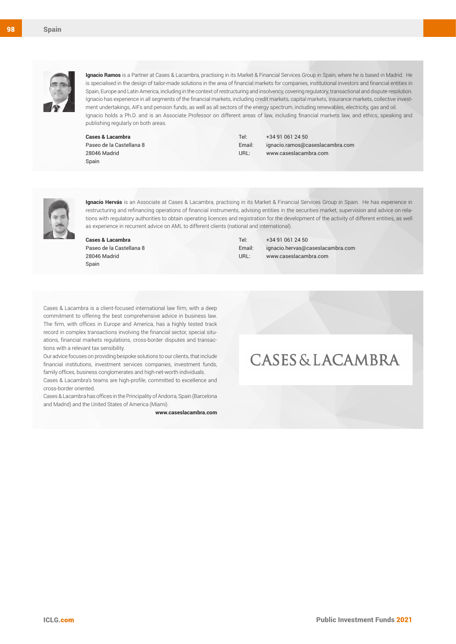

Spain

**Ignacio Ramos** is a Partner at Cases & Lacambra, practising in its Market & Financial Services Group in Spain, where he is based in Madrid. He is specialised in the design of tailor-made solutions in the area of financial markets for companies, institutional investors and financial entities in Spain, Europe and Latin America, including in the context of restructuring and insolvency, covering regulatory, transactional and dispute resolution. Ignacio has experience in all segments of the financial markets, including credit markets, capital markets, insurance markets, collective investment undertakings, AIFs and pension funds, as well as all sectors of the energy spectrum, including renewables, electricity, gas and oil. Ignacio holds a Ph.D. and is an Associate Professor on different areas of law, including financial markets law, and ethics, speaking and publishing regularly on both areas.

**Cases & Lacambra** Paseo de la Castellana 8 28046 Madrid Spain

Tel: +34 91 061 24 50 Email: ignacio.ramos@caseslacambra.com URL: www.caseslacambra.com



**Ignacio Hervás** is an Associate at Cases & Lacambra, practising in its Market & Financial Services Group in Spain. He has experience in restructuring and refinancing operations of financial instruments, advising entities in the securities market, supervision and advice on relations with regulatory authorities to obtain operating licences and registration for the development of the activity of different entities, as well as experience in recurrent advice on AML to different clients (national and international).

**Cases & Lacambra** Paseo de la Castellana 8 28046 Madrid Spain

Tel: +34 91 061 24 50 Email: ignacio.hervas@caseslacambra.com URL: www.caseslacambra.com

Cases & Lacambra is a client-focused international law firm, with a deep commitment to offering the best comprehensive advice in business law. The firm, with offices in Europe and America, has a highly tested track record in complex transactions involving the financial sector, special situations, financial markets regulations, cross-border disputes and transactions with a relevant tax sensibility.

Our advice focuses on providing bespoke solutions to our clients, that include financial institutions, investment services companies, investment funds, family offices, business conglomerates and high-net-worth individuals.

Cases & Lacambra's teams are high-profile, committed to excellence and cross-border oriented.

Cases & Lacambra has offices in the Principality of Andorra, Spain (Barcelona and Madrid) and the United States of America (Miami).

**www.caseslacambra.com**

## **CASES & LACAMBRA**